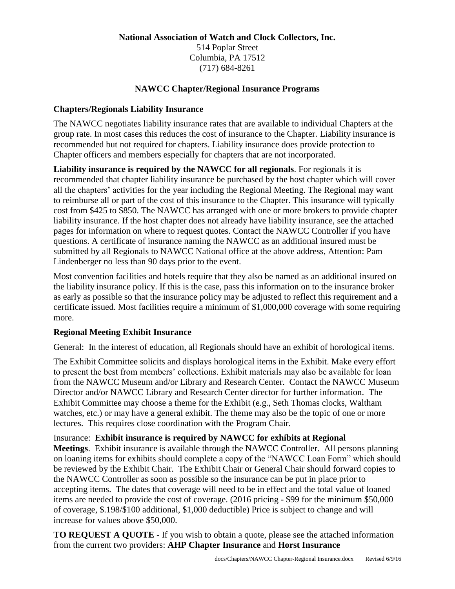#### **National Association of Watch and Clock Collectors, Inc.** 514 Poplar Street Columbia, PA 17512 (717) 684-8261

#### **NAWCC Chapter/Regional Insurance Programs**

#### **Chapters/Regionals Liability Insurance**

The NAWCC negotiates liability insurance rates that are available to individual Chapters at the group rate. In most cases this reduces the cost of insurance to the Chapter. Liability insurance is recommended but not required for chapters. Liability insurance does provide protection to Chapter officers and members especially for chapters that are not incorporated.

**Liability insurance is required by the NAWCC for all regionals**. For regionals it is recommended that chapter liability insurance be purchased by the host chapter which will cover all the chapters' activities for the year including the Regional Meeting. The Regional may want to reimburse all or part of the cost of this insurance to the Chapter. This insurance will typically cost from \$425 to \$850. The NAWCC has arranged with one or more brokers to provide chapter liability insurance. If the host chapter does not already have liability insurance, see the attached pages for information on where to request quotes. Contact the NAWCC Controller if you have questions. A certificate of insurance naming the NAWCC as an additional insured must be submitted by all Regionals to NAWCC National office at the above address, Attention: Pam Lindenberger no less than 90 days prior to the event.

Most convention facilities and hotels require that they also be named as an additional insured on the liability insurance policy. If this is the case, pass this information on to the insurance broker as early as possible so that the insurance policy may be adjusted to reflect this requirement and a certificate issued. Most facilities require a minimum of \$1,000,000 coverage with some requiring more.

#### **Regional Meeting Exhibit Insurance**

General: In the interest of education, all Regionals should have an exhibit of horological items.

The Exhibit Committee solicits and displays horological items in the Exhibit. Make every effort to present the best from members' collections. Exhibit materials may also be available for loan from the NAWCC Museum and/or Library and Research Center. Contact the NAWCC Museum Director and/or NAWCC Library and Research Center director for further information. The Exhibit Committee may choose a theme for the Exhibit (e.g., Seth Thomas clocks, Waltham watches, etc.) or may have a general exhibit. The theme may also be the topic of one or more lectures. This requires close coordination with the Program Chair.

#### Insurance: **Exhibit insurance is required by NAWCC for exhibits at Regional**

**Meetings**. Exhibit insurance is available through the NAWCC Controller. All persons planning on loaning items for exhibits should complete a copy of the "NAWCC Loan Form" which should be reviewed by the Exhibit Chair. The Exhibit Chair or General Chair should forward copies to the NAWCC Controller as soon as possible so the insurance can be put in place prior to accepting items. The dates that coverage will need to be in effect and the total value of loaned items are needed to provide the cost of coverage. (2016 pricing - \$99 for the minimum \$50,000 of coverage, \$.198/\$100 additional, \$1,000 deductible) Price is subject to change and will increase for values above \$50,000.

**TO REQUEST A QUOTE** - If you wish to obtain a quote, please see the attached information from the current two providers: **AHP Chapter Insurance** and **Horst Insurance**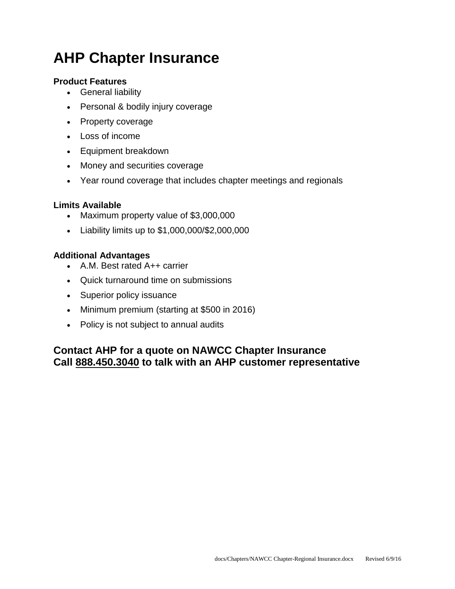# **AHP Chapter Insurance**

### **Product Features**

- **•** General liability
- Personal & bodily injury coverage
- Property coverage
- Loss of income
- Equipment breakdown
- Money and securities coverage
- Year round coverage that includes chapter meetings and regionals

## **Limits Available**

- Maximum property value of \$3,000,000
- Liability limits up to \$1,000,000/\$2,000,000

## **Additional Advantages**

- A.M. Best rated A++ carrier
- Quick turnaround time on submissions
- Superior policy issuance
- Minimum premium (starting at \$500 in 2016)
- Policy is not subject to annual audits

## **Contact AHP for a quote on NAWCC Chapter Insurance Call 888.450.3040 to talk with an AHP customer representative**